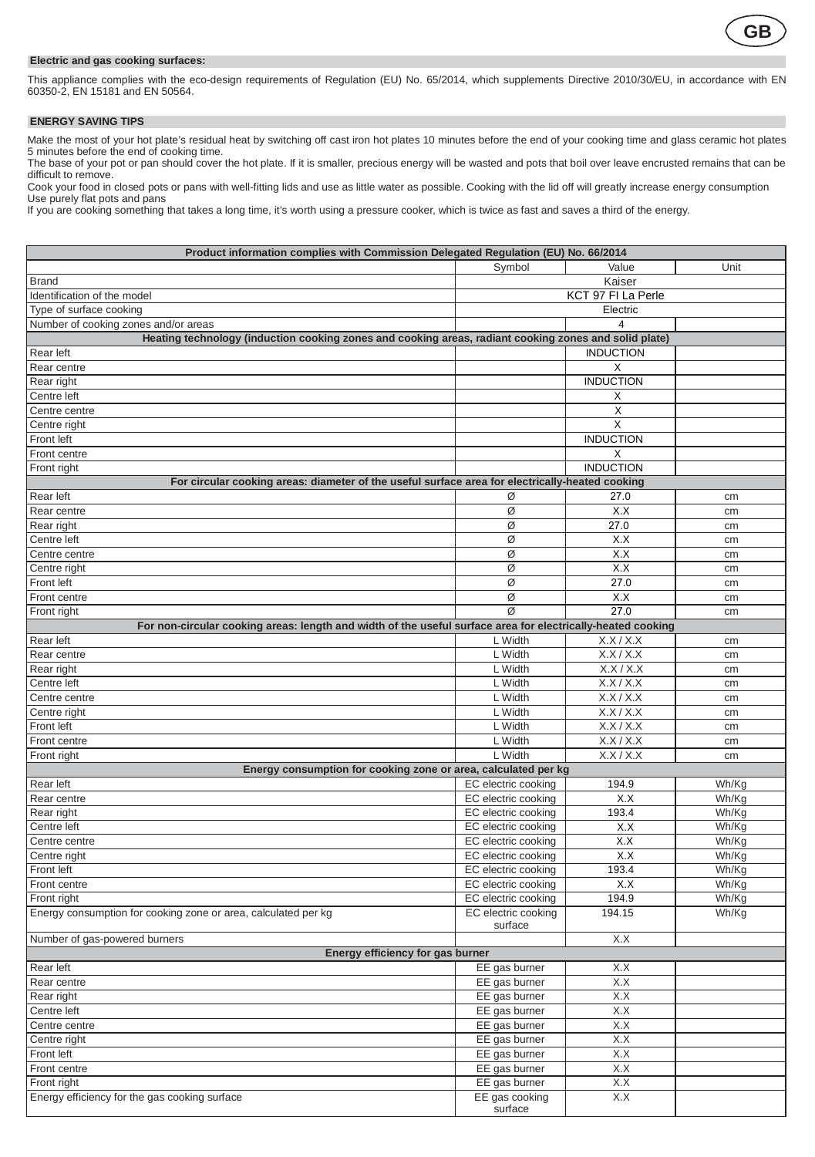

## **Electric and gas cooking surfaces:**

This appliance complies with the eco-design requirements of Regulation (EU) No. 65/2014, which supplements Directive 2010/30/EU, in accordance with EN 60350-2, EN 15181 and EN 50564.

**ENERGY SAVING TIPS**  Make the most of your hot plate's residual heat by switching off cast iron hot plates 10 minutes before the end of your cooking time and glass ceramic hot plates<br>5 minutes before the end of cooking time.<br>The base of your p

difficult to remove.

Cook your food in closed pots or pans with well-fitting lids and use as little water as possible. Cooking with the lid off will greatly increase energy consumption Use purely flat pots and pans

If you are cooking something that takes a long time, it's worth using a pressure cooker, which is twice as fast and saves a third of the energy.

| Product information complies with Commission Delegated Regulation (EU) No. 66/2014                                         |                                |                    |       |  |  |
|----------------------------------------------------------------------------------------------------------------------------|--------------------------------|--------------------|-------|--|--|
|                                                                                                                            | Symbol                         | Value              | Unit  |  |  |
| Brand                                                                                                                      |                                | Kaiser             |       |  |  |
| Identification of the model                                                                                                |                                | KCT 97 FI La Perle |       |  |  |
| Type of surface cooking                                                                                                    | Electric                       |                    |       |  |  |
| Number of cooking zones and/or areas                                                                                       |                                |                    |       |  |  |
| Heating technology (induction cooking zones and cooking areas, radiant cooking zones and solid plate)                      |                                |                    |       |  |  |
| Rear left                                                                                                                  |                                | <b>INDUCTION</b>   |       |  |  |
| Rear centre                                                                                                                |                                | х                  |       |  |  |
| Rear right                                                                                                                 |                                | <b>INDUCTION</b>   |       |  |  |
| Centre left                                                                                                                |                                | х                  |       |  |  |
| Centre centre                                                                                                              |                                | X                  |       |  |  |
| Centre right                                                                                                               |                                | X                  |       |  |  |
| Front left                                                                                                                 |                                | <b>INDUCTION</b>   |       |  |  |
| Front centre                                                                                                               |                                | X                  |       |  |  |
| Front right                                                                                                                |                                | <b>INDUCTION</b>   |       |  |  |
| For circular cooking areas: diameter of the useful surface area for electrically-heated cooking                            |                                |                    |       |  |  |
| Rear left                                                                                                                  | Ø                              | 27.0               | cm    |  |  |
| Rear centre                                                                                                                | Ø                              | X.X                | cm    |  |  |
| Rear right                                                                                                                 | Ø                              | 27.0               | cm    |  |  |
| Centre left                                                                                                                | ø                              | X.X                | cm    |  |  |
| Centre centre                                                                                                              | Ø                              | X.X                | cm    |  |  |
| Centre right                                                                                                               | ø                              | X.X                |       |  |  |
| Front left                                                                                                                 | Ø                              | 27.0               | cm    |  |  |
| Front centre                                                                                                               | Ø                              | X.X                | cm    |  |  |
|                                                                                                                            | Ø                              | 27.0               | cm    |  |  |
| Front right<br>For non-circular cooking areas: length and width of the useful surface area for electrically-heated cooking |                                |                    | cm    |  |  |
| Rear left                                                                                                                  | L Width                        | X.X/X.X            |       |  |  |
|                                                                                                                            | L Width                        | X.X/X.X            | cm    |  |  |
| Rear centre                                                                                                                | L Width                        | X.X/X.X            | cm    |  |  |
| Rear right                                                                                                                 |                                |                    | cm    |  |  |
| Centre left                                                                                                                | L Width                        | X.X/X.X            | cm    |  |  |
| Centre centre                                                                                                              | L Width                        | X.X/X.X            | cm    |  |  |
| Centre right                                                                                                               | L Width                        | X.X/X.X            | cm    |  |  |
| Front left                                                                                                                 | L Width<br>L Width             | X.X/X.X<br>X.X/X.X | cm    |  |  |
| Front centre                                                                                                               | L Width                        | X.X/X.X            | cm    |  |  |
| Front right                                                                                                                |                                |                    | cm    |  |  |
| Energy consumption for cooking zone or area, calculated per kg                                                             |                                |                    |       |  |  |
| Rear left                                                                                                                  | EC electric cooking            | 194.9              | Wh/Kg |  |  |
| Rear centre                                                                                                                | EC electric cooking            | X.X                | Wh/Kg |  |  |
| Rear right                                                                                                                 | EC electric cooking            | 193.4              | Wh/Kg |  |  |
| Centre left                                                                                                                | EC electric cooking            | X.X                | Wh/Kg |  |  |
| Centre centre                                                                                                              | EC electric cooking            | X.X                | Wh/Kg |  |  |
| Centre right                                                                                                               | EC electric cooking            | X.X                | Wh/Kg |  |  |
| Front left                                                                                                                 | EC electric cooking            | 193.4              | Wh/Kg |  |  |
| Front centre                                                                                                               | EC electric cooking            | X.X                | Wh/Kg |  |  |
| Front right                                                                                                                | EC electric cooking            | 194.9              | Wh/Kg |  |  |
| Energy consumption for cooking zone or area, calculated per kg                                                             | EC electric cooking<br>surface | 194.15             | Wh/Kg |  |  |
| Number of gas-powered burners                                                                                              |                                | X.X                |       |  |  |
| Energy efficiency for gas burner                                                                                           |                                |                    |       |  |  |
| Rear left                                                                                                                  | EE gas burner                  | X.X                |       |  |  |
|                                                                                                                            | EE gas burner                  | X.X                |       |  |  |
| Rear centre<br>Rear right                                                                                                  | EE gas burner                  | X.X                |       |  |  |
| Centre left                                                                                                                | EE gas burner                  | X.X                |       |  |  |
| Centre centre                                                                                                              |                                | X.X                |       |  |  |
|                                                                                                                            | EE gas burner                  | X.X                |       |  |  |
| Centre right<br>Front left                                                                                                 | EE gas burner                  | X.X                |       |  |  |
| Front centre                                                                                                               | EE gas burner<br>EE gas burner | X.X                |       |  |  |
|                                                                                                                            |                                | X.X                |       |  |  |
| Front right                                                                                                                | EE gas burner                  | X.X                |       |  |  |
| Energy efficiency for the gas cooking surface                                                                              | EE gas cooking<br>surface      |                    |       |  |  |
|                                                                                                                            |                                |                    |       |  |  |